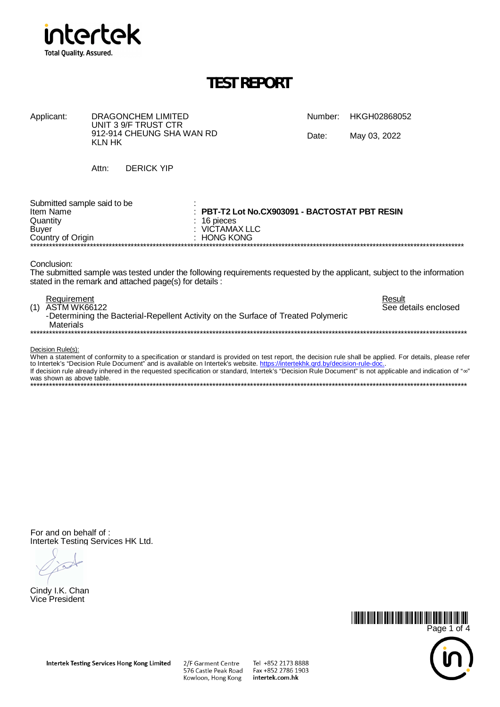

| Applicant: | DRAGONCHEM LIMITED<br>UNIT 3 9/F TRUST CTR |       | Number: HKGH02868052 |
|------------|--------------------------------------------|-------|----------------------|
|            | 912-914 CHEUNG SHA WAN RD<br>KLN HK        | Date: | May 03, 2022         |
|            | <b>DERICK YIP</b><br>Attn:                 |       |                      |
| _          |                                            |       |                      |

| Submitted sample said to be<br>Item Name<br>Quantity | $\pm$ PBT-T2 Lot No.CX903091 - BACTOSTAT PBT RESIN<br>$\therefore$ 16 pieces |
|------------------------------------------------------|------------------------------------------------------------------------------|
| Buyer                                                | ∴ VICTAMAX LLC                                                               |
| Country of Origin                                    | : HONG KONG                                                                  |
|                                                      |                                                                              |

Conclusion:

The submitted sample was tested under the following requirements requested by the applicant, subject to the information stated in the remark and attached page(s) for details:

| Requirement<br>(1)<br>ASTM WK66122<br>-Determining the Bacterial-Repellent Activity on the Surface of Treated Polymeric | Result<br>See details enclosed |
|-------------------------------------------------------------------------------------------------------------------------|--------------------------------|
| <b>Materials</b>                                                                                                        |                                |

Decision Rule(s):<br>When a statement of conformity to a specification or standard is provided on test report, the decision rule shall be applied. For details, please refer<br>to Intertek's "Decision Rule Document" and is availa was shown as above table. 

For and on behalf of: Intertek Testing Services HK Ltd.

Cindy I.K. Chan Vice President



intertek.com.hk

Kowloon, Hong Kong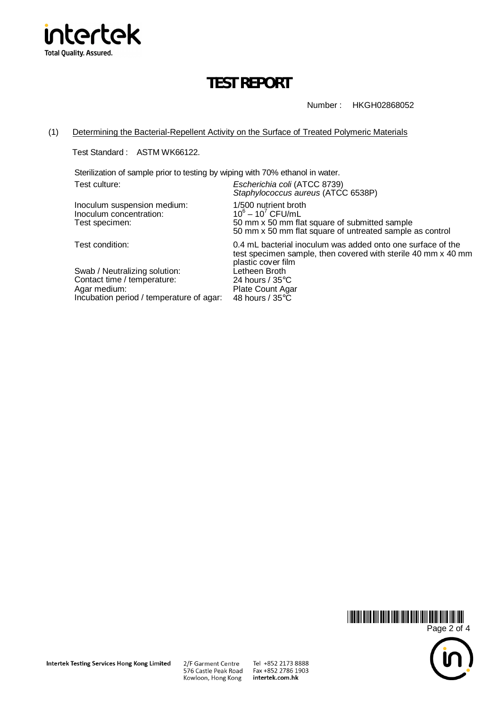

Number : HKGH02868052

#### (1) Determining the Bacterial-Repellent Activity on the Surface of Treated Polymeric Materials

Test Standard : ASTM WK66122.

Sterilization of sample prior to testing by wiping with 70% ethanol in water.

Test culture: *Escherichia coli* (ATCC 8739)

Inoculum suspension medium: 1/500 nutrient broth Inoculum concentration:  $10^6$ 

*Staphylococcus aureus* (ATCC 6538P)  $-10^7$  CFU/mL Test specimen: 50 mm x 50 mm flat square of submitted sample 50 mm x 50 mm flat square of untreated sample as control

Swab / Neutralizing solution: Letheen Broth<br>Contact time / temperature: 24 hours / 35°C Contact time / temperature:<br>Agar medium: Incubation period / temperature of agar:

Test condition: 0.4 mL bacterial inoculum was added onto one surface of the test specimen sample, then covered with sterile 40 mm x 40 mm plastic cover film<br>Letheen Broth Plate Count Agar<br>48 hours / 35°C



2/F Garment Centre 576 Castle Peak Road Kowloon, Hong Kong

Tel +852 2173 8888 Fax +852 2786 1903 intertek.com.hk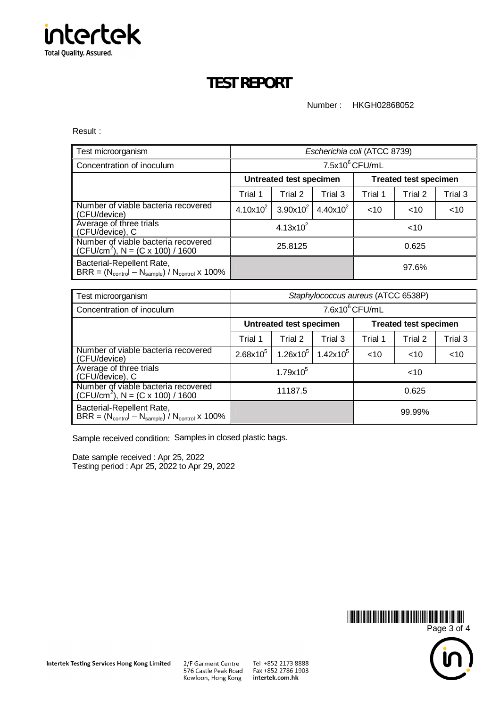

Number : HKGH02868052

Result :

| Test microorganism                                                                         |               |                                | Escherichia coli (ATCC 8739) |         |                              |         |
|--------------------------------------------------------------------------------------------|---------------|--------------------------------|------------------------------|---------|------------------------------|---------|
| Concentration of inoculum                                                                  |               | $7.5x10^6$ CFU/mL              |                              |         |                              |         |
|                                                                                            |               | <b>Untreated test specimen</b> |                              |         | <b>Treated test specimen</b> |         |
|                                                                                            | Trial 1       | Trial 2                        | Trial 3                      | Trial 1 | Trial 2                      | Trial 3 |
| Number of viable bacteria recovered<br>(CFU/device)                                        | $4.10x10^{2}$ | $3.90x10^{2}$                  | $4.40x10^{2}$                | ~10     | ~10                          | $<$ 10  |
| Average of three trials<br>(CFU/device), C                                                 |               | $4.13x10^{2}$                  |                              |         | $<$ 10                       |         |
| Number of viable bacteria recovered<br>$(CFU/cm2)$ , N = $(C x 100) / 1600$                |               | 25.8125                        |                              |         | 0.625                        |         |
| Bacterial-Repellent Rate,<br>$BRR = (N_{control} - N_{sample}) / N_{control} \times 100\%$ | 97.6%         |                                |                              |         |                              |         |

| Test microorganism                                                                         |               |                                | Staphylococcus aureus (ATCC 6538P) |         |                              |         |
|--------------------------------------------------------------------------------------------|---------------|--------------------------------|------------------------------------|---------|------------------------------|---------|
| Concentration of inoculum                                                                  |               |                                | $7.6x10^6$ CFU/mL                  |         |                              |         |
|                                                                                            |               | <b>Untreated test specimen</b> |                                    |         | <b>Treated test specimen</b> |         |
|                                                                                            | Trial 1       | Trial 2                        | Trial 3                            | Trial 1 | Trial 2                      | Trial 3 |
| Number of viable bacteria recovered<br>(CFU/device)                                        | $2.68x10^{5}$ | $1.26x10^{5}$                  | $1.42x10^5$                        | < 10    | ~10                          | $<$ 10  |
| Average of three trials<br>(CFU/device), C                                                 |               | $1.79x10^{5}$                  |                                    |         | $<$ 10                       |         |
| Number of viable bacteria recovered<br>(CFU/cm <sup>2</sup> ), N = (C x 100) / 1600        |               | 11187.5                        |                                    |         | 0.625                        |         |
| Bacterial-Repellent Rate,<br>$BRR = (N_{control} - N_{sample}) / N_{control} \times 100\%$ | 99.99%        |                                |                                    |         |                              |         |

Sample received condition: Samples in closed plastic bags.

Date sample received : Apr 25, 2022 Testing period : Apr 25, 2022 to Apr 29, 2022